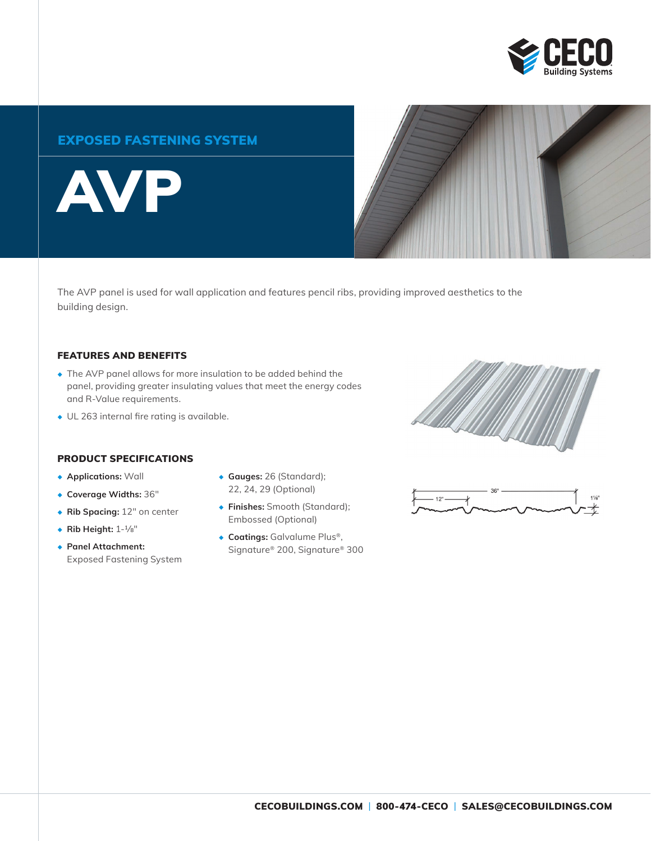

## EXPOSED FASTENING SYSTEM

AVP



The AVP panel is used for wall application and features pencil ribs, providing improved aesthetics to the building design.

#### FEATURES AND BENEFITS

- ◆ The AVP panel allows for more insulation to be added behind the panel, providing greater insulating values that meet the energy codes and R-Value requirements.
- ◆ UL 263 internal fire rating is available.

#### PRODUCT SPECIFICATIONS

- ◆ **Applications:** Wall
- ◆ **Coverage Widths:** 36"
- ◆ **Rib Spacing:** 12" on center
- ◆ **Rib Height:** 1-1/8"
- ◆ **Panel Attachment:** Exposed Fastening System
- ◆ **Gauges:** 26 (Standard); 22, 24, 29 (Optional)
- ◆ **Finishes:** Smooth (Standard); Embossed (Optional)
- ◆ **Coatings:** Galvalume Plus®, Signature® 200, Signature® 300